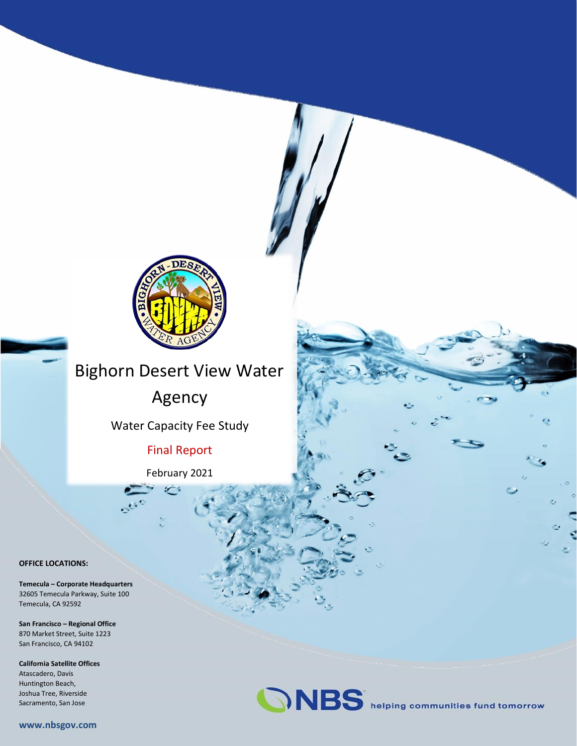

## **WATER AND WASTEWATER Bighorn Desert View Water**

Agency

Water Capacity Fee Study

**Final Report** 

February 2021

#### **OFFICE LOCATIONS:**

**Temecula – Corporate Headquarters** 32605 Temecula Parkway, Suite 100 Temecula, CA 92592

**San Francisco – Regional Office** 870 Market Street, Suite 1223 San Francisco, CA 94102

**California Satellite Offices** Atascadero, Davis Huntington Beach, Joshua Tree, Riverside Sacramento, San Jose



**www.nbsgov.com**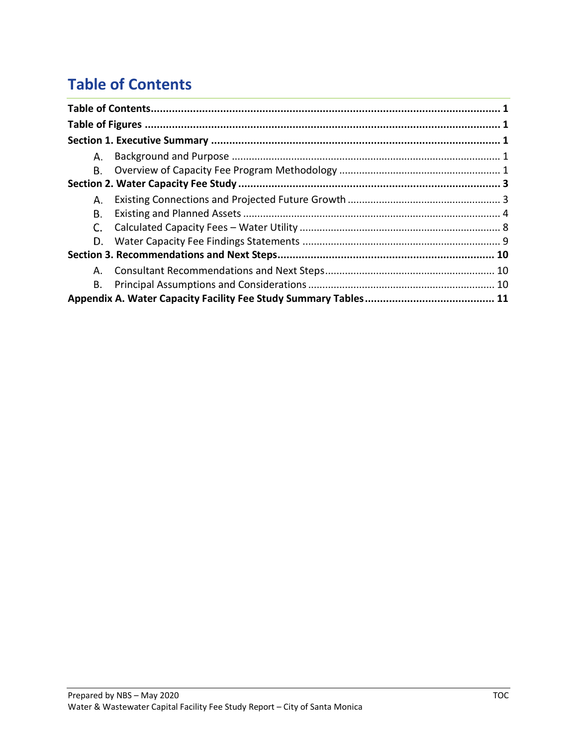## <span id="page-1-0"></span>**Table of Contents**

| А. |  |
|----|--|
| В. |  |
|    |  |
| А. |  |
| В. |  |
|    |  |
| D. |  |
|    |  |
| А. |  |
| В. |  |
|    |  |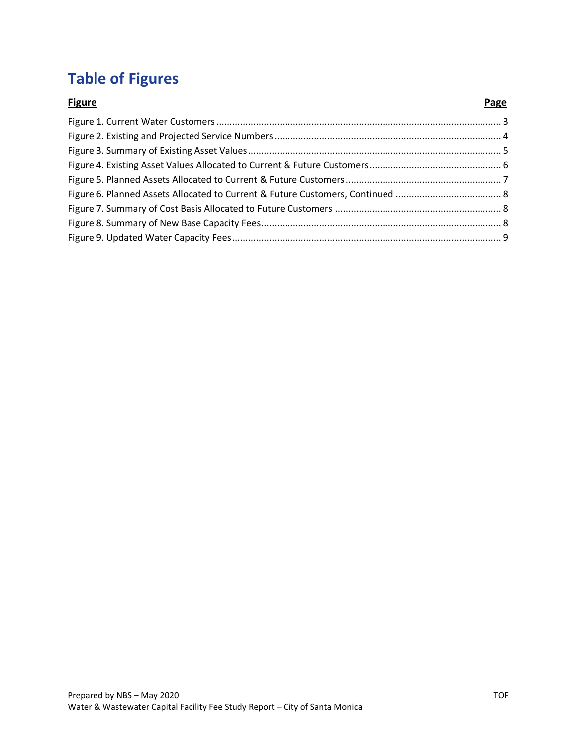# <span id="page-2-0"></span>**Table of Figures**

| <b>Figure</b> | Page |
|---------------|------|
|               |      |
|               |      |
|               |      |
|               |      |
|               |      |
|               |      |
|               |      |
|               |      |
|               |      |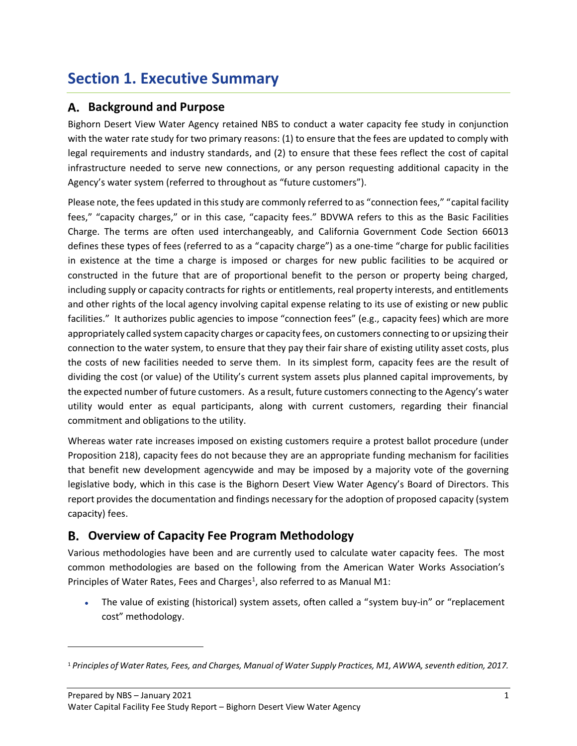## <span id="page-3-0"></span>**Section 1. Executive Summary**

### <span id="page-3-1"></span>**Background and Purpose**

Bighorn Desert View Water Agency retained NBS to conduct a water capacity fee study in conjunction with the water rate study for two primary reasons: (1) to ensure that the fees are updated to comply with legal requirements and industry standards, and (2) to ensure that these fees reflect the cost of capital infrastructure needed to serve new connections, or any person requesting additional capacity in the Agency's water system (referred to throughout as "future customers").

Please note, the fees updated in this study are commonly referred to as "connection fees," "capital facility fees," "capacity charges," or in this case, "capacity fees." BDVWA refers to this as the Basic Facilities Charge. The terms are often used interchangeably, and California Government Code Section 66013 defines these types of fees (referred to as a "capacity charge") as a one-time "charge for public facilities in existence at the time a charge is imposed or charges for new public facilities to be acquired or constructed in the future that are of proportional benefit to the person or property being charged, including supply or capacity contracts for rights or entitlements, real property interests, and entitlements and other rights of the local agency involving capital expense relating to its use of existing or new public facilities." It authorizes public agencies to impose "connection fees" (e.g., capacity fees) which are more appropriately called system capacity charges or capacity fees, on customers connecting to or upsizing their connection to the water system, to ensure that they pay their fair share of existing utility asset costs, plus the costs of new facilities needed to serve them. In its simplest form, capacity fees are the result of dividing the cost (or value) of the Utility's current system assets plus planned capital improvements, by the expected number of future customers. As a result, future customers connecting to the Agency's water utility would enter as equal participants, along with current customers, regarding their financial commitment and obligations to the utility.

Whereas water rate increases imposed on existing customers require a protest ballot procedure (under Proposition 218), capacity fees do not because they are an appropriate funding mechanism for facilities that benefit new development agencywide and may be imposed by a majority vote of the governing legislative body, which in this case is the Bighorn Desert View Water Agency's Board of Directors. This report provides the documentation and findings necessary for the adoption of proposed capacity (system capacity) fees.

### <span id="page-3-2"></span>**Overview of Capacity Fee Program Methodology**

Various methodologies have been and are currently used to calculate water capacity fees. The most common methodologies are based on the following from the American Water Works Association's Principles of Water Rates, Fees and Charges<sup>1</sup>, also referred to as Manual M1:

• The value of existing (historical) system assets, often called a "system buy-in" or "replacement cost" methodology.

<sup>1</sup> *Principles of Water Rates, Fees, and Charges, Manual of Water Supply Practices, M1, AWWA, seventh edition, 2017.*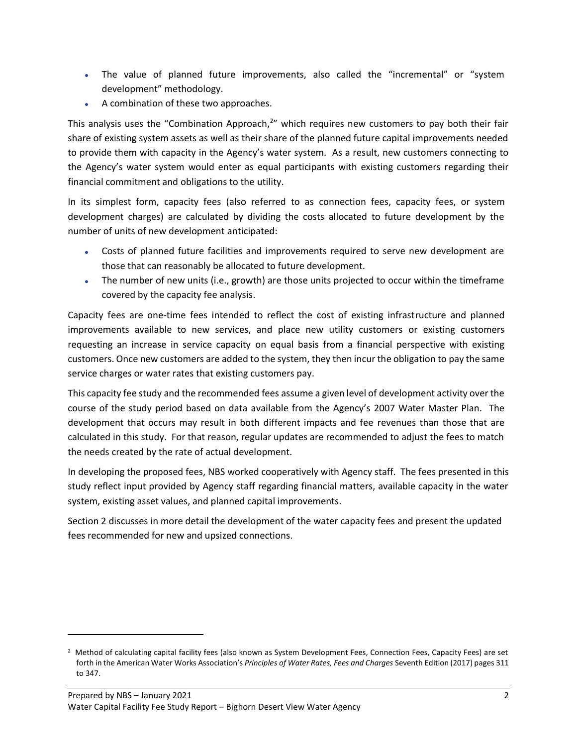- The value of planned future improvements, also called the "incremental" or "system development" methodology.
- A combination of these two approaches.

This analysis uses the "Combination Approach,<sup>2</sup>" which requires new customers to pay both their fair share of existing system assets as well as their share of the planned future capital improvements needed to provide them with capacity in the Agency's water system. As a result, new customers connecting to the Agency's water system would enter as equal participants with existing customers regarding their financial commitment and obligations to the utility.

In its simplest form, capacity fees (also referred to as connection fees, capacity fees, or system development charges) are calculated by dividing the costs allocated to future development by the number of units of new development anticipated:

- Costs of planned future facilities and improvements required to serve new development are those that can reasonably be allocated to future development.
- The number of new units (i.e., growth) are those units projected to occur within the timeframe covered by the capacity fee analysis.

Capacity fees are one-time fees intended to reflect the cost of existing infrastructure and planned improvements available to new services, and place new utility customers or existing customers requesting an increase in service capacity on equal basis from a financial perspective with existing customers. Once new customers are added to the system, they then incur the obligation to pay the same service charges or water rates that existing customers pay.

This capacity fee study and the recommended fees assume a given level of development activity over the course of the study period based on data available from the Agency's 2007 Water Master Plan. The development that occurs may result in both different impacts and fee revenues than those that are calculated in this study. For that reason, regular updates are recommended to adjust the fees to match the needs created by the rate of actual development.

In developing the proposed fees, NBS worked cooperatively with Agency staff. The fees presented in this study reflect input provided by Agency staff regarding financial matters, available capacity in the water system, existing asset values, and planned capital improvements.

Section 2 discusses in more detail the development of the water capacity fees and present the updated fees recommended for new and upsized connections.

<sup>2</sup> Method of calculating capital facility fees (also known as System Development Fees, Connection Fees, Capacity Fees) are set forth in the American Water Works Association's *Principles of Water Rates, Fees and Charges* Seventh Edition (2017) pages 311 to 347.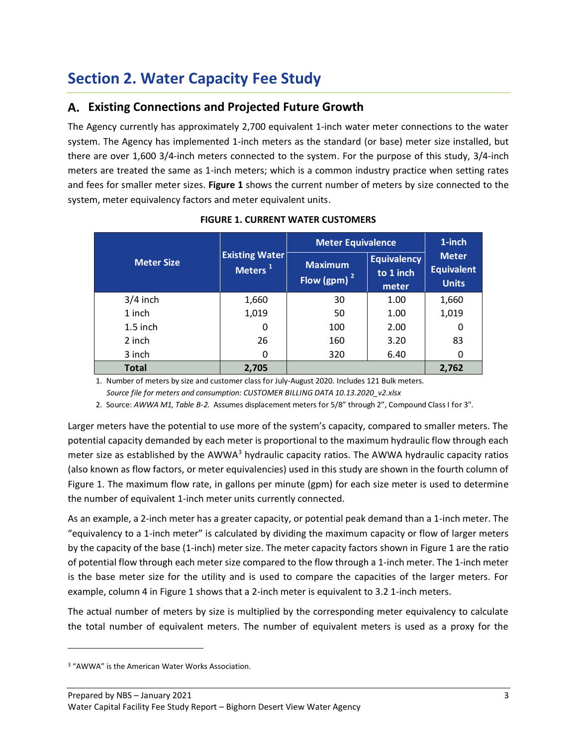## <span id="page-5-0"></span>**Section 2. Water Capacity Fee Study**

## <span id="page-5-1"></span>**Existing Connections and Projected Future Growth**

The Agency currently has approximately 2,700 equivalent 1-inch water meter connections to the water system. The Agency has implemented 1-inch meters as the standard (or base) meter size installed, but there are over 1,600 3/4-inch meters connected to the system. For the purpose of this study, 3/4-inch meters are treated the same as 1-inch meters; which is a common industry practice when setting rates and fees for smaller meter sizes. **Figure 1** shows the current number of meters by size connected to the system, meter equivalency factors and meter equivalent units.

<span id="page-5-2"></span>

|                   |                                              | <b>Meter Equivalence</b>         | 1-inch                                   |                                            |
|-------------------|----------------------------------------------|----------------------------------|------------------------------------------|--------------------------------------------|
| <b>Meter Size</b> | <b>Existing Water</b><br>Meters <sup>1</sup> | <b>Maximum</b><br>Flow (gpm) $2$ | <b>Equivalency</b><br>to 1 inch<br>meter | <b>Meter</b><br>Equivalent<br><b>Units</b> |
| $3/4$ inch        | 1,660                                        | 30                               | 1.00                                     | 1,660                                      |
| 1 inch            | 1,019                                        | 50                               | 1.00                                     | 1,019                                      |
| $1.5$ inch        | 0                                            | 100                              | 2.00                                     | 0                                          |
| 2 inch            | 26                                           | 160                              | 3.20                                     | 83                                         |
| 3 inch            | 0                                            | 320                              | 6.40                                     | 0                                          |
| <b>Total</b>      | 2,705                                        |                                  |                                          | 2,762                                      |

**FIGURE 1. CURRENT WATER CUSTOMERS**

1. Number of meters by size and customer class for July-August 2020. Includes 121 Bulk meters.

 *Source file for meters and consumption: CUSTOMER BILLING DATA 10.13.2020\_v2.xlsx*

2. Source: *AWWA M1, Table B-2.* Assumes displacement meters for 5/8" through 2", Compound Class I for 3".

Larger meters have the potential to use more of the system's capacity, compared to smaller meters. The potential capacity demanded by each meter is proportional to the maximum hydraulic flow through each meter size as established by the AWWA $3$  hydraulic capacity ratios. The AWWA hydraulic capacity ratios (also known as flow factors, or meter equivalencies) used in this study are shown in the fourth column of Figure 1. The maximum flow rate, in gallons per minute (gpm) for each size meter is used to determine the number of equivalent 1-inch meter units currently connected.

As an example, a 2-inch meter has a greater capacity, or potential peak demand than a 1-inch meter. The "equivalency to a 1-inch meter" is calculated by dividing the maximum capacity or flow of larger meters by the capacity of the base (1-inch) meter size. The meter capacity factors shown in Figure 1 are the ratio of potential flow through each meter size compared to the flow through a 1-inch meter. The 1-inch meter is the base meter size for the utility and is used to compare the capacities of the larger meters. For example, column 4 in Figure 1 shows that a 2-inch meter is equivalent to 3.2 1-inch meters.

The actual number of meters by size is multiplied by the corresponding meter equivalency to calculate the total number of equivalent meters. The number of equivalent meters is used as a proxy for the

<sup>3</sup> "AWWA" is the American Water Works Association.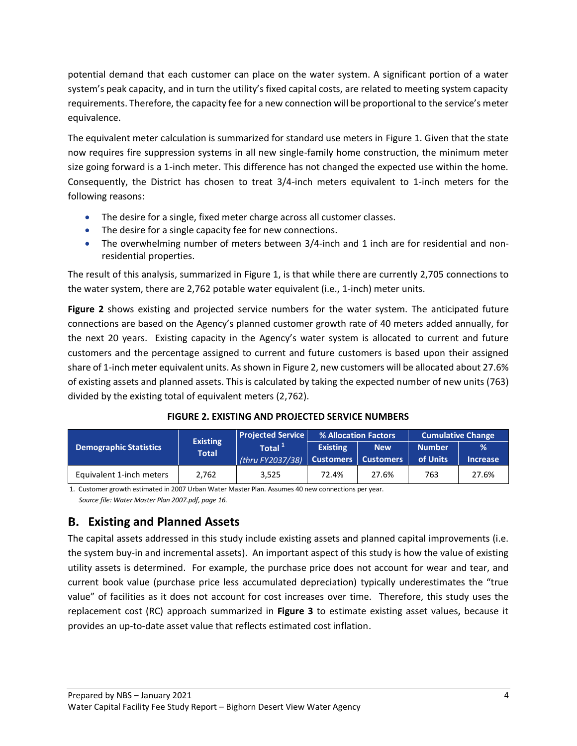potential demand that each customer can place on the water system. A significant portion of a water system's peak capacity, and in turn the utility's fixed capital costs, are related to meeting system capacity requirements. Therefore, the capacity fee for a new connection will be proportional to the service's meter equivalence.

The equivalent meter calculation is summarized for standard use meters in Figure 1. Given that the state now requires fire suppression systems in all new single-family home construction, the minimum meter size going forward is a 1-inch meter. This difference has not changed the expected use within the home. Consequently, the District has chosen to treat 3/4-inch meters equivalent to 1-inch meters for the following reasons:

- The desire for a single, fixed meter charge across all customer classes.
- The desire for a single capacity fee for new connections.
- The overwhelming number of meters between 3/4-inch and 1 inch are for residential and nonresidential properties.

The result of this analysis, summarized in Figure 1, is that while there are currently 2,705 connections to the water system, there are 2,762 potable water equivalent (i.e., 1-inch) meter units.

**Figure 2** shows existing and projected service numbers for the water system. The anticipated future connections are based on the Agency's planned customer growth rate of 40 meters added annually, for the next 20 years. Existing capacity in the Agency's water system is allocated to current and future customers and the percentage assigned to current and future customers is based upon their assigned share of 1-inch meter equivalent units. As shown in Figure 2, new customers will be allocated about 27.6% of existing assets and planned assets. This is calculated by taking the expected number of new units (763) divided by the existing total of equivalent meters (2,762).

<span id="page-6-1"></span>

|                               |                                 | <b>Projected Service</b>                                   |                 | % Allocation Factors | <b>Cumulative Change</b>  |                                  |  |
|-------------------------------|---------------------------------|------------------------------------------------------------|-----------------|----------------------|---------------------------|----------------------------------|--|
| <b>Demographic Statistics</b> | <b>Existing</b><br><b>Total</b> | Total <sup>+</sup><br>(thru FY2037/38) Customers Customers | <b>Existing</b> | <b>New</b>           | <b>Number</b><br>of Units | $\frac{9}{6}$<br><b>Increase</b> |  |
| Equivalent 1-inch meters      | 2,762                           | 3.525                                                      | 72.4%           | 27.6%                | 763                       | 27.6%                            |  |

1. Customer growth estimated in 2007 Urban Water Master Plan. Assumes 40 new connections per year.  *Source file: Water Master Plan 2007.pdf, page 16.*

## <span id="page-6-0"></span>**Existing and Planned Assets**

The capital assets addressed in this study include existing assets and planned capital improvements (i.e. the system buy-in and incremental assets). An important aspect of this study is how the value of existing utility assets is determined. For example, the purchase price does not account for wear and tear, and current book value (purchase price less accumulated depreciation) typically underestimates the "true value" of facilities as it does not account for cost increases over time. Therefore, this study uses the replacement cost (RC) approach summarized in **Figure 3** to estimate existing asset values, because it provides an up-to-date asset value that reflects estimated cost inflation.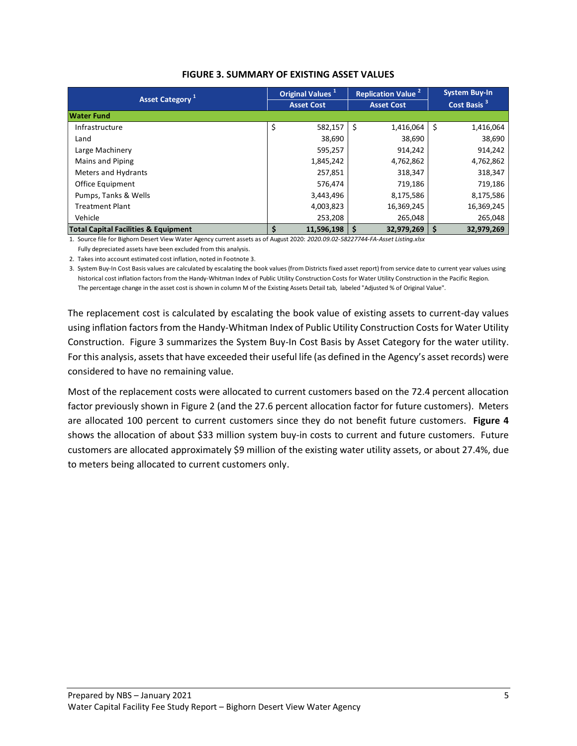<span id="page-7-0"></span>

|                                                 |    | Original Values <sup>1</sup> | <b>Replication Value<sup>2</sup></b> |            |    | <b>System Buy-In</b>    |  |  |
|-------------------------------------------------|----|------------------------------|--------------------------------------|------------|----|-------------------------|--|--|
| Asset Category <sup>1</sup>                     |    | <b>Asset Cost</b>            | <b>Asset Cost</b>                    |            |    | Cost Basis <sup>3</sup> |  |  |
| <b>Water Fund</b>                               |    |                              |                                      |            |    |                         |  |  |
| Infrastructure                                  | \$ | 582,157                      | -\$                                  | 1,416,064  | \$ | 1,416,064               |  |  |
| Land                                            |    | 38,690                       |                                      | 38,690     |    | 38,690                  |  |  |
| Large Machinery                                 |    | 595,257                      |                                      | 914,242    |    | 914,242                 |  |  |
| Mains and Piping                                |    | 1,845,242                    |                                      | 4,762,862  |    | 4,762,862               |  |  |
| <b>Meters and Hydrants</b>                      |    | 257,851                      |                                      | 318,347    |    | 318,347                 |  |  |
| <b>Office Equipment</b>                         |    | 576,474                      |                                      | 719,186    |    | 719,186                 |  |  |
| Pumps, Tanks & Wells                            |    | 3,443,496                    |                                      | 8,175,586  |    | 8,175,586               |  |  |
| <b>Treatment Plant</b>                          |    | 4,003,823                    |                                      | 16,369,245 |    | 16,369,245              |  |  |
| Vehicle                                         |    | 253,208                      |                                      | 265,048    |    | 265,048                 |  |  |
| <b>Total Capital Facilities &amp; Equipment</b> |    | 11,596,198                   | l \$                                 | 32,979,269 |    | 32,979,269              |  |  |

1. Source file for Bighorn Desert View Water Agency current assets as of August 2020: *2020.09.02-58227744-FA-Asset Listing.xlsx*

Fully depreciated assets have been excluded from this analysis.

2. Takes into account estimated cost inflation, noted in Footnote 3.

3. System Buy-In Cost Basis values are calculated by escalating the book values (from Districts fixed asset report) from service date to current year values using historical cost inflation factors from the Handy-Whitman Index of Public Utility Construction Costs for Water Utility Construction in the Pacific Region. The percentage change in the asset cost is shown in column M of the Existing Assets Detail tab, labeled "Adjusted % of Original Value".

The replacement cost is calculated by escalating the book value of existing assets to current-day values using inflation factors from the Handy-Whitman Index of Public Utility Construction Costs for Water Utility Construction. Figure 3 summarizes the System Buy-In Cost Basis by Asset Category for the water utility. For this analysis, assets that have exceeded their useful life (as defined in the Agency's asset records) were considered to have no remaining value.

Most of the replacement costs were allocated to current customers based on the 72.4 percent allocation factor previously shown in Figure 2 (and the 27.6 percent allocation factor for future customers). Meters are allocated 100 percent to current customers since they do not benefit future customers. **Figure 4** shows the allocation of about \$33 million system buy-in costs to current and future customers. Future customers are allocated approximately \$9 million of the existing water utility assets, or about 27.4%, due to meters being allocated to current customers only.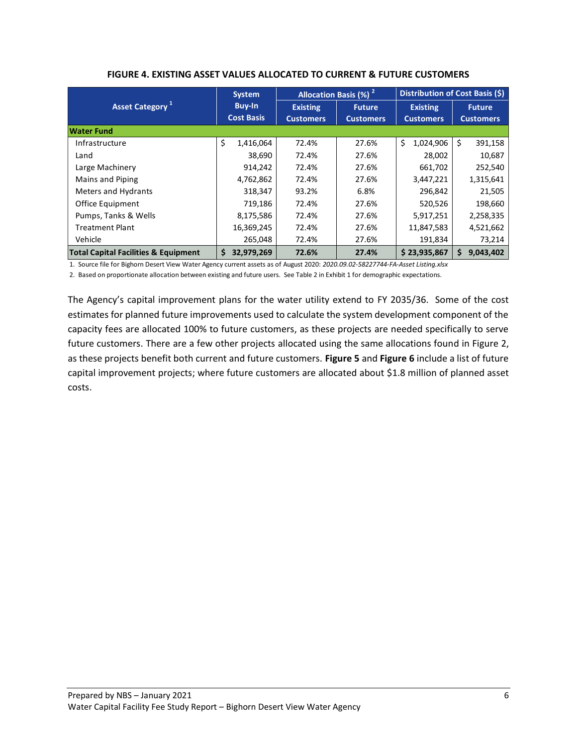<span id="page-8-0"></span>

|                                                 | <b>System</b>     |                  | <b>Allocation Basis (%)<sup>2</sup></b> | Distribution of Cost Basis (\$) |                                   |  |  |
|-------------------------------------------------|-------------------|------------------|-----------------------------------------|---------------------------------|-----------------------------------|--|--|
| Asset Category <sup>1</sup>                     | <b>Buy-In</b>     | <b>Existing</b>  | <b>Future</b>                           | <b>Existing</b>                 | <b>Future</b><br><b>Customers</b> |  |  |
|                                                 | <b>Cost Basis</b> | <b>Customers</b> | <b>Customers</b>                        | <b>Customers</b>                |                                   |  |  |
| <b>Water Fund</b>                               |                   |                  |                                         |                                 |                                   |  |  |
| Infrastructure                                  | \$<br>1,416,064   | 72.4%            | 27.6%                                   | \$<br>1,024,906                 | \$<br>391,158                     |  |  |
| Land                                            | 38,690            | 72.4%            | 27.6%                                   | 28,002                          | 10,687                            |  |  |
| Large Machinery                                 | 914,242           | 72.4%            | 27.6%                                   | 661,702                         | 252,540                           |  |  |
| Mains and Piping                                | 4,762,862         | 72.4%            | 27.6%                                   | 3,447,221                       | 1,315,641                         |  |  |
| Meters and Hydrants                             | 318,347           | 93.2%            | 6.8%                                    | 296,842                         | 21,505                            |  |  |
| Office Equipment                                | 719,186           | 72.4%            | 27.6%                                   | 520,526                         | 198,660                           |  |  |
| Pumps, Tanks & Wells                            | 8,175,586         | 72.4%            | 27.6%                                   | 5,917,251                       | 2,258,335                         |  |  |
| <b>Treatment Plant</b>                          | 16,369,245        | 72.4%            | 27.6%                                   | 11,847,583                      | 4,521,662                         |  |  |
| Vehicle                                         | 265,048           | 72.4%            | 27.6%                                   | 191,834                         | 73,214                            |  |  |
| <b>Total Capital Facilities &amp; Equipment</b> | \$<br>32,979,269  | 72.6%            | 27.4%                                   | \$23,935,867                    | 9,043,402<br>\$                   |  |  |

#### **FIGURE 4. EXISTING ASSET VALUES ALLOCATED TO CURRENT & FUTURE CUSTOMERS**

1. Source file for Bighorn Desert View Water Agency current assets as of August 2020: *2020.09.02-58227744-FA-Asset Listing.xlsx*

2. Based on proportionate allocation between existing and future users. See Table 2 in Exhibit 1 for demographic expectations.

The Agency's capital improvement plans for the water utility extend to FY 2035/36. Some of the cost estimates for planned future improvements used to calculate the system development component of the capacity fees are allocated 100% to future customers, as these projects are needed specifically to serve future customers. There are a few other projects allocated using the same allocations found in Figure 2, as these projects benefit both current and future customers. **Figure 5** and **Figure 6** include a list of future capital improvement projects; where future customers are allocated about \$1.8 million of planned asset costs.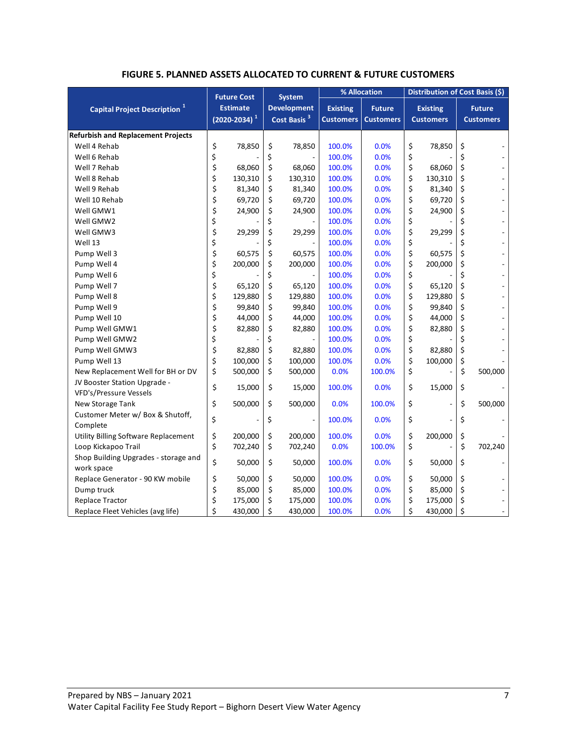|  |  | <b>FIGURE 5. PLANNED ASSETS ALLOCATED TO CURRENT &amp; FUTURE CUSTOMERS</b> |
|--|--|-----------------------------------------------------------------------------|
|--|--|-----------------------------------------------------------------------------|

<span id="page-9-0"></span>

|                                                        |    | <b>Future Cost</b>                      |    | <b>System</b> | % Allocation |                                               |                                                                          | Distribution of Cost Basis (\$) |                                     |         |                                   |
|--------------------------------------------------------|----|-----------------------------------------|----|---------------|--------------|-----------------------------------------------|--------------------------------------------------------------------------|---------------------------------|-------------------------------------|---------|-----------------------------------|
| <b>Capital Project Description</b> <sup>1</sup>        |    | <b>Estimate</b><br>$(2020 - 2034)^{-1}$ |    |               |              | <b>Development</b><br>Cost Basis <sup>3</sup> | <b>Existing</b><br><b>Future</b><br><b>Customers</b><br><b>Customers</b> |                                 | <b>Existing</b><br><b>Customers</b> |         | <b>Future</b><br><b>Customers</b> |
| <b>Refurbish and Replacement Projects</b>              |    |                                         |    |               |              |                                               |                                                                          |                                 |                                     |         |                                   |
| Well 4 Rehab                                           | \$ | 78,850                                  | \$ | 78,850        | 100.0%       | 0.0%                                          | \$                                                                       | 78,850                          | \$                                  |         |                                   |
| Well 6 Rehab                                           | \$ |                                         | \$ |               | 100.0%       | 0.0%                                          | \$                                                                       |                                 | \$                                  |         |                                   |
| Well 7 Rehab                                           | \$ | 68,060                                  | \$ | 68,060        | 100.0%       | 0.0%                                          | \$                                                                       | 68,060                          | \$                                  |         |                                   |
| Well 8 Rehab                                           | \$ | 130,310                                 | \$ | 130,310       | 100.0%       | 0.0%                                          | \$                                                                       | 130,310                         | \$                                  |         |                                   |
| Well 9 Rehab                                           | \$ | 81,340                                  | \$ | 81,340        | 100.0%       | 0.0%                                          | \$                                                                       | 81,340                          | \$                                  |         |                                   |
| Well 10 Rehab                                          | \$ | 69,720                                  | \$ | 69,720        | 100.0%       | 0.0%                                          | \$                                                                       | 69,720                          | \$                                  |         |                                   |
| Well GMW1                                              | \$ | 24,900                                  | \$ | 24,900        | 100.0%       | 0.0%                                          | \$                                                                       | 24,900                          | \$                                  |         |                                   |
| Well GMW2                                              | \$ |                                         | \$ |               | 100.0%       | 0.0%                                          | \$                                                                       |                                 | \$                                  |         |                                   |
| Well GMW3                                              | \$ | 29,299                                  | \$ | 29,299        | 100.0%       | 0.0%                                          | \$                                                                       | 29,299                          | \$                                  |         |                                   |
| Well 13                                                | \$ |                                         | \$ |               | 100.0%       | 0.0%                                          | \$                                                                       |                                 | \$                                  |         |                                   |
| Pump Well 3                                            | \$ | 60,575                                  | \$ | 60,575        | 100.0%       | 0.0%                                          | \$                                                                       | 60,575                          | \$                                  |         |                                   |
| Pump Well 4                                            | \$ | 200,000                                 | \$ | 200,000       | 100.0%       | 0.0%                                          | \$                                                                       | 200,000                         | \$                                  |         |                                   |
| Pump Well 6                                            | \$ |                                         | \$ |               | 100.0%       | 0.0%                                          | \$                                                                       |                                 | \$                                  |         |                                   |
| Pump Well 7                                            | \$ | 65,120                                  | \$ | 65,120        | 100.0%       | 0.0%                                          | \$                                                                       | 65,120                          | \$                                  |         |                                   |
| Pump Well 8                                            | \$ | 129,880                                 | \$ | 129,880       | 100.0%       | 0.0%                                          | \$                                                                       | 129,880                         | \$                                  |         |                                   |
| Pump Well 9                                            | \$ | 99,840                                  | \$ | 99,840        | 100.0%       | 0.0%                                          | \$                                                                       | 99,840                          | \$                                  |         |                                   |
| Pump Well 10                                           | \$ | 44,000                                  | \$ | 44,000        | 100.0%       | 0.0%                                          | \$                                                                       | 44,000                          | \$                                  |         |                                   |
| Pump Well GMW1                                         | \$ | 82,880                                  | \$ | 82,880        | 100.0%       | 0.0%                                          | \$                                                                       | 82,880                          | \$                                  |         |                                   |
| Pump Well GMW2                                         | \$ |                                         | \$ |               | 100.0%       | 0.0%                                          | \$                                                                       |                                 | \$                                  |         |                                   |
| Pump Well GMW3                                         | \$ | 82,880                                  | \$ | 82,880        | 100.0%       | 0.0%                                          | \$                                                                       | 82,880                          | \$                                  |         |                                   |
| Pump Well 13                                           | \$ | 100,000                                 | \$ | 100,000       | 100.0%       | 0.0%                                          | \$                                                                       | 100,000                         | \$                                  |         |                                   |
| New Replacement Well for BH or DV                      | \$ | 500,000                                 | \$ | 500,000       | 0.0%         | 100.0%                                        | \$                                                                       |                                 | \$                                  | 500,000 |                                   |
| JV Booster Station Upgrade -<br>VFD's/Pressure Vessels | \$ | 15,000                                  | \$ | 15,000        | 100.0%       | 0.0%                                          | \$                                                                       | 15,000                          | \$                                  |         |                                   |
| New Storage Tank                                       | \$ | 500,000                                 | \$ | 500,000       | 0.0%         | 100.0%                                        | \$                                                                       |                                 | \$                                  | 500,000 |                                   |
| Customer Meter w/ Box & Shutoff,<br>Complete           | \$ |                                         | \$ |               | 100.0%       | 0.0%                                          | \$                                                                       |                                 | \$                                  |         |                                   |
| Utility Billing Software Replacement                   | \$ | 200,000                                 | \$ | 200,000       | 100.0%       | 0.0%                                          | \$                                                                       | 200,000                         | \$                                  |         |                                   |
| Loop Kickapoo Trail                                    | \$ | 702,240                                 | \$ | 702,240       | 0.0%         | 100.0%                                        | \$                                                                       |                                 | Ś                                   | 702,240 |                                   |
| Shop Building Upgrades - storage and                   |    |                                         |    |               |              |                                               |                                                                          |                                 |                                     |         |                                   |
| work space                                             | \$ | 50,000                                  | \$ | 50,000        | 100.0%       | 0.0%                                          | \$                                                                       | 50,000                          | \$                                  |         |                                   |
| Replace Generator - 90 KW mobile                       | \$ | 50,000                                  | \$ | 50,000        | 100.0%       | 0.0%                                          | \$                                                                       | 50,000                          | \$                                  |         |                                   |
| Dump truck                                             | \$ | 85,000                                  | \$ | 85,000        | 100.0%       | 0.0%                                          | \$                                                                       | 85,000                          | \$                                  |         |                                   |
| Replace Tractor                                        | \$ | 175,000                                 | \$ | 175,000       | 100.0%       | 0.0%                                          | \$                                                                       | 175,000                         | \$                                  |         |                                   |
| Replace Fleet Vehicles (avg life)                      | \$ | 430,000                                 | \$ | 430,000       | 100.0%       | 0.0%                                          | \$                                                                       | 430,000                         | \$                                  |         |                                   |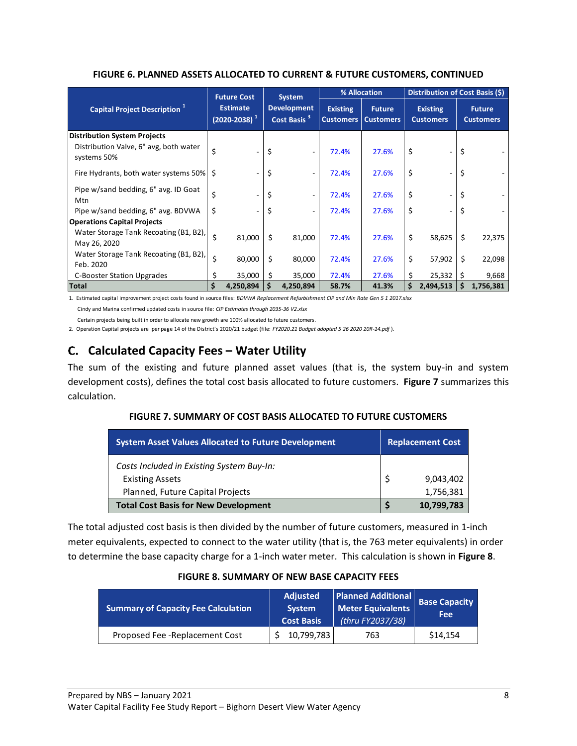<span id="page-10-1"></span>

|                                                                                              |                                         | <b>Future Cost</b> |                                               | <b>System</b>            | % Allocation    |                                               |                                     | Distribution of Cost Basis (\$) |                                   |           |  |
|----------------------------------------------------------------------------------------------|-----------------------------------------|--------------------|-----------------------------------------------|--------------------------|-----------------|-----------------------------------------------|-------------------------------------|---------------------------------|-----------------------------------|-----------|--|
| Capital Project Description <sup>1</sup>                                                     | <b>Estimate</b><br>$(2020 - 2038)^{-1}$ |                    | <b>Development</b><br>Cost Basis <sup>3</sup> |                          | <b>Existing</b> | <b>Future</b><br><b>Customers   Customers</b> | <b>Existing</b><br><b>Customers</b> |                                 | <b>Future</b><br><b>Customers</b> |           |  |
| <b>Distribution System Projects</b><br>Distribution Valve, 6" avg, both water<br>systems 50% | \$                                      |                    | \$                                            |                          | 72.4%           | 27.6%                                         | \$                                  |                                 | \$                                |           |  |
| Fire Hydrants, both water systems 50% \$                                                     |                                         |                    | \$                                            |                          | 72.4%           | 27.6%                                         | \$                                  |                                 |                                   |           |  |
| Pipe w/sand bedding, 6" avg. ID Goat<br>Mtn                                                  | \$                                      |                    | \$                                            | $\overline{\phantom{a}}$ | 72.4%           | 27.6%                                         | \$                                  |                                 | \$                                |           |  |
| Pipe w/sand bedding, 6" avg. BDVWA                                                           | \$                                      |                    | \$                                            |                          | 72.4%           | 27.6%                                         | \$                                  |                                 | \$                                |           |  |
| <b>Operations Capital Projects</b>                                                           |                                         |                    |                                               |                          |                 |                                               |                                     |                                 |                                   |           |  |
| Water Storage Tank Recoating (B1, B2),<br>May 26, 2020                                       | \$                                      | 81,000             | \$                                            | 81,000                   | 72.4%           | 27.6%                                         | \$                                  | 58,625                          | Ŝ.                                | 22,375    |  |
| Water Storage Tank Recoating (B1, B2),<br>Feb. 2020                                          | \$                                      | 80,000             | \$                                            | 80,000                   | 72.4%           | 27.6%                                         | \$                                  | 57,902                          | Ŝ.                                | 22,098    |  |
| <b>C-Booster Station Upgrades</b>                                                            |                                         | 35,000             | \$                                            | 35,000                   | 72.4%           | 27.6%                                         | \$                                  | 25,332                          |                                   | 9,668     |  |
| <b>Total</b>                                                                                 | \$                                      | 4,250,894          | \$                                            | 4,250,894                | 58.7%           | 41.3%                                         | \$                                  | 2,494,513                       | \$                                | 1,756,381 |  |

#### **FIGURE 6. PLANNED ASSETS ALLOCATED TO CURRENT & FUTURE CUSTOMERS, CONTINUED**

1. Estimated capital improvement project costs found in source files: *BDVWA Replacement Refurbishment CIP and Min Rate Gen 5 1 2017.xlsx* Cindy and Marina confirmed updated costs in source file: *CIP Estimates through 2035-36 V2.xlsx*

 Certain projects being built in order to allocate new growth are 100% allocated to future customers. 2. Operation Capital projects are per page 14 of the District's 2020/21 budget (file: *FY2020.21 Budget adopted 5 26 2020 20R-14.pdf* ).

## <span id="page-10-0"></span>**Calculated Capacity Fees – Water Utility**

<span id="page-10-2"></span>The sum of the existing and future planned asset values (that is, the system buy-in and system development costs), defines the total cost basis allocated to future customers. **Figure 7** summarizes this calculation.

#### **FIGURE 7. SUMMARY OF COST BASIS ALLOCATED TO FUTURE CUSTOMERS**

| <b>System Asset Values Allocated to Future Development</b>          | <b>Replacement Cost</b> |            |  |  |
|---------------------------------------------------------------------|-------------------------|------------|--|--|
| Costs Included in Existing System Buy-In:<br><b>Existing Assets</b> |                         | 9,043,402  |  |  |
| Planned, Future Capital Projects                                    |                         | 1,756,381  |  |  |
| <b>Total Cost Basis for New Development</b>                         |                         | 10,799,783 |  |  |

The total adjusted cost basis is then divided by the number of future customers, measured in 1-inch meter equivalents, expected to connect to the water utility (that is, the 763 meter equivalents) in order to determine the base capacity charge for a 1-inch water meter. This calculation is shown in **Figure 8**.

#### **FIGURE 8. SUMMARY OF NEW BASE CAPACITY FEES**

<span id="page-10-3"></span>

| <b>Summary of Capacity Fee Calculation</b> | <b>Adjusted</b><br><b>System</b><br><b>Cost Basis</b> | <b>Planned Additional</b><br>Meter Equivalents<br>(thru FY2037/38) | <b>Base Capacity</b><br>Fee |
|--------------------------------------------|-------------------------------------------------------|--------------------------------------------------------------------|-----------------------------|
| Proposed Fee - Replacement Cost            | 10,799,783                                            | 763                                                                | \$14,154                    |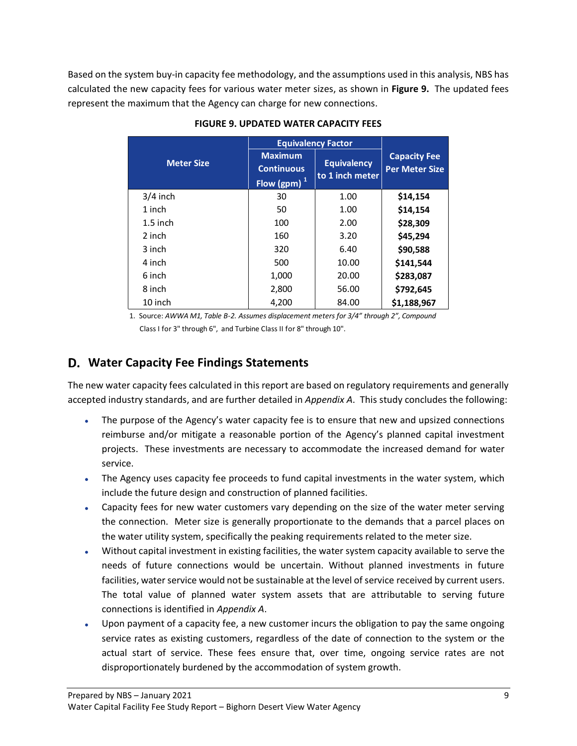<span id="page-11-1"></span>Based on the system buy-in capacity fee methodology, and the assumptions used in this analysis, NBS has calculated the new capacity fees for various water meter sizes, as shown in **Figure 9.** The updated fees represent the maximum that the Agency can charge for new connections.

|                   | <b>Equivalency Factor</b>                              |                                       |                                              |
|-------------------|--------------------------------------------------------|---------------------------------------|----------------------------------------------|
| <b>Meter Size</b> | <b>Maximum</b><br><b>Continuous</b><br>Flow (gpm) $^1$ | <b>Equivalency</b><br>to 1 inch meter | <b>Capacity Fee</b><br><b>Per Meter Size</b> |
| $3/4$ inch        | 30                                                     | 1.00                                  | \$14,154                                     |
| 1 inch            | 50                                                     | 1.00                                  | \$14,154                                     |
| $1.5$ inch        | 100                                                    | 2.00                                  | \$28,309                                     |
| 2 inch            | 160                                                    | 3.20                                  | \$45,294                                     |
| 3 inch            | 320                                                    | 6.40                                  | \$90,588                                     |
| 4 inch            | 500                                                    | 10.00                                 | \$141,544                                    |
| 6 inch            | 1,000                                                  | 20.00                                 | \$283,087                                    |
| 8 inch            | 2,800                                                  | 56.00                                 | \$792,645                                    |
| 10 inch           | 4.200                                                  | 84.00                                 | \$1,188,967                                  |

### **FIGURE 9. UPDATED WATER CAPACITY FEES**

1. Source: *AWWA M1, Table B-2. Assumes displacement meters for 3/4" through 2", Compound* Class I for 3" through 6", and Turbine Class II for 8" through 10".

### <span id="page-11-0"></span>**Water Capacity Fee Findings Statements**

The new water capacity fees calculated in this report are based on regulatory requirements and generally accepted industry standards, and are further detailed in *Appendix A*. This study concludes the following:

- The purpose of the Agency's water capacity fee is to ensure that new and upsized connections reimburse and/or mitigate a reasonable portion of the Agency's planned capital investment projects. These investments are necessary to accommodate the increased demand for water service.
- The Agency uses capacity fee proceeds to fund capital investments in the water system, which include the future design and construction of planned facilities.
- Capacity fees for new water customers vary depending on the size of the water meter serving the connection. Meter size is generally proportionate to the demands that a parcel places on the water utility system, specifically the peaking requirements related to the meter size.
- Without capital investment in existing facilities, the water system capacity available to serve the needs of future connections would be uncertain. Without planned investments in future facilities, water service would not be sustainable at the level of service received by current users. The total value of planned water system assets that are attributable to serving future connections is identified in *Appendix A*.
- Upon payment of a capacity fee, a new customer incurs the obligation to pay the same ongoing service rates as existing customers, regardless of the date of connection to the system or the actual start of service. These fees ensure that, over time, ongoing service rates are not disproportionately burdened by the accommodation of system growth.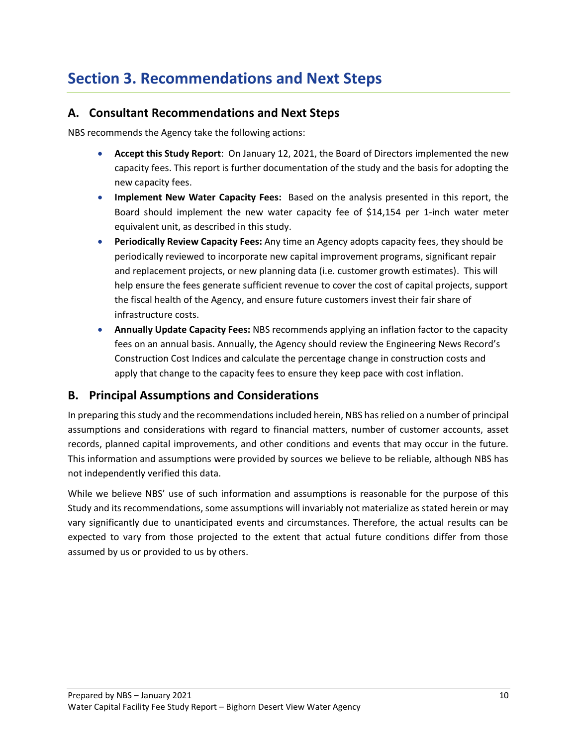## <span id="page-12-0"></span>**Section 3. Recommendations and Next Steps**

### <span id="page-12-1"></span>**A. Consultant Recommendations and Next Steps**

NBS recommends the Agency take the following actions:

- **Accept this Study Report**: On January 12, 2021, the Board of Directors implemented the new capacity fees. This report is further documentation of the study and the basis for adopting the new capacity fees.
- **Implement New Water Capacity Fees:** Based on the analysis presented in this report, the Board should implement the new water capacity fee of \$14,154 per 1-inch water meter equivalent unit, as described in this study.
- **Periodically Review Capacity Fees:** Any time an Agency adopts capacity fees, they should be periodically reviewed to incorporate new capital improvement programs, significant repair and replacement projects, or new planning data (i.e. customer growth estimates). This will help ensure the fees generate sufficient revenue to cover the cost of capital projects, support the fiscal health of the Agency, and ensure future customers invest their fair share of infrastructure costs.
- **Annually Update Capacity Fees:** NBS recommends applying an inflation factor to the capacity fees on an annual basis. Annually, the Agency should review the Engineering News Record's Construction Cost Indices and calculate the percentage change in construction costs and apply that change to the capacity fees to ensure they keep pace with cost inflation.

### <span id="page-12-2"></span>**B. Principal Assumptions and Considerations**

In preparing this study and the recommendations included herein, NBS has relied on a number of principal assumptions and considerations with regard to financial matters, number of customer accounts, asset records, planned capital improvements, and other conditions and events that may occur in the future. This information and assumptions were provided by sources we believe to be reliable, although NBS has not independently verified this data.

While we believe NBS' use of such information and assumptions is reasonable for the purpose of this Study and its recommendations, some assumptions will invariably not materialize as stated herein or may vary significantly due to unanticipated events and circumstances. Therefore, the actual results can be expected to vary from those projected to the extent that actual future conditions differ from those assumed by us or provided to us by others.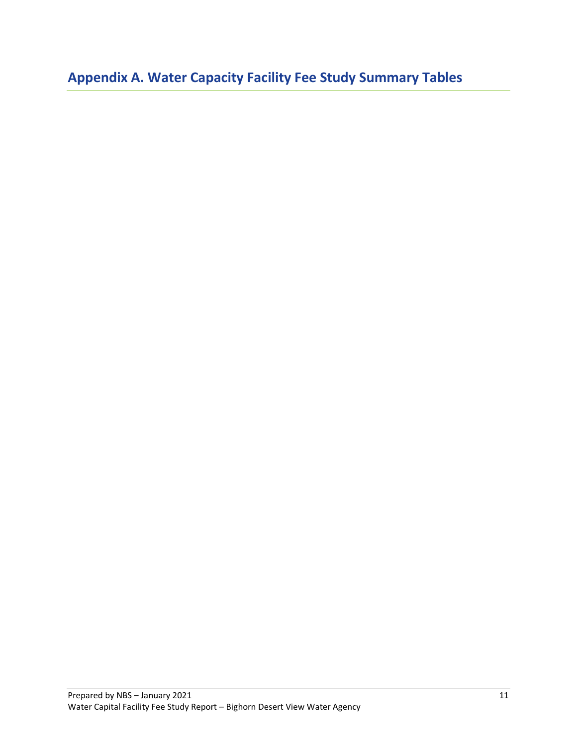<span id="page-13-0"></span>**Appendix A. Water Capacity Facility Fee Study Summary Tables**